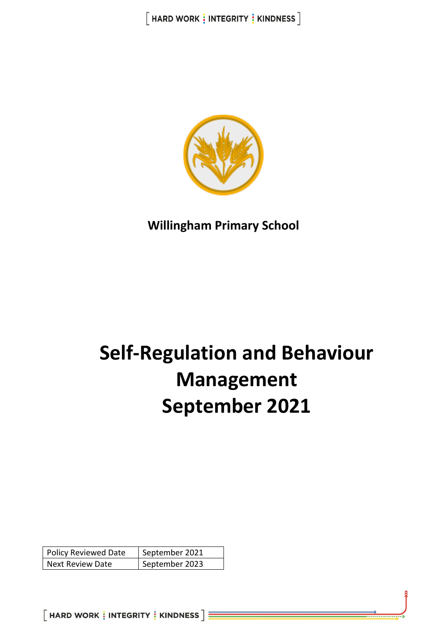

**Willingham Primary School**

# **Self-Regulation and Behaviour Management September 2021**

| <b>Policy Reviewed Date</b> | September 2021 |
|-----------------------------|----------------|
| Next Review Date            | September 2023 |

 $[$  HARD WORK  $\frac{1}{3}$  INTEGRITY  $\frac{1}{3}$  KINDNESS  $]\equiv$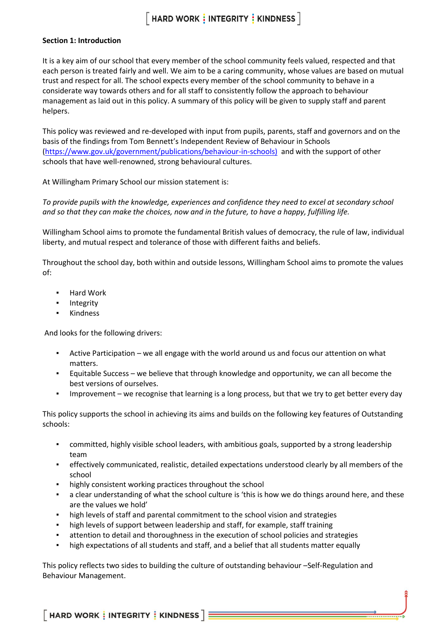# $[$  HARD WORK  $\frac{1}{2}$  INTEGRITY  $\frac{1}{2}$  KINDNESS  $\overline{\phantom{a}}$

#### **Section 1: Introduction**

It is a key aim of our school that every member of the school community feels valued, respected and that each person is treated fairly and well. We aim to be a caring community, whose values are based on mutual trust and respect for all. The school expects every member of the school community to behave in a considerate way towards others and for all staff to consistently follow the approach to behaviour management as laid out in this policy. A summary of this policy will be given to supply staff and parent helpers.

This policy was reviewed and re-developed with input from pupils, parents, staff and governors and on the basis of the findings from Tom Bennett's Independent Review of Behaviour in Schools [\(https://www.gov.uk/government/publications/behaviour-in-schools\)](https://www.gov.uk/government/publications/behaviour-in-schools)) and with the support of other schools that have well-renowned, strong behavioural cultures.

At Willingham Primary School our mission statement is:

*To provide pupils with the knowledge, experiences and confidence they need to excel at secondary school and so that they can make the choices, now and in the future, to have a happy, fulfilling life.* 

Willingham School aims to promote the fundamental British values of democracy, the rule of law, individual liberty, and mutual respect and tolerance of those with different faiths and beliefs.

Throughout the school day, both within and outside lessons, Willingham School aims to promote the values of:

- Hard Work
- **Integrity**
- **Kindness**

And looks for the following drivers:

- Active Participation we all engage with the world around us and focus our attention on what matters.
- Equitable Success we believe that through knowledge and opportunity, we can all become the best versions of ourselves.
- Improvement we recognise that learning is a long process, but that we try to get better every day

This policy supports the school in achieving its aims and builds on the following key features of Outstanding schools:

- committed, highly visible school leaders, with ambitious goals, supported by a strong leadership team
- effectively communicated, realistic, detailed expectations understood clearly by all members of the school
- highly consistent working practices throughout the school
- a clear understanding of what the school culture is 'this is how we do things around here, and these are the values we hold'
- high levels of staff and parental commitment to the school vision and strategies
- high levels of support between leadership and staff, for example, staff training
- **•** attention to detail and thoroughness in the execution of school policies and strategies
- high expectations of all students and staff, and a belief that all students matter equally

This policy reflects two sides to building the culture of outstanding behaviour –Self-Regulation and Behaviour Management.

 $\lceil$  HARD WORK  $\frac{1}{2}$  INTEGRITY  $\frac{1}{2}$  KINDNESS  $\rceil$  =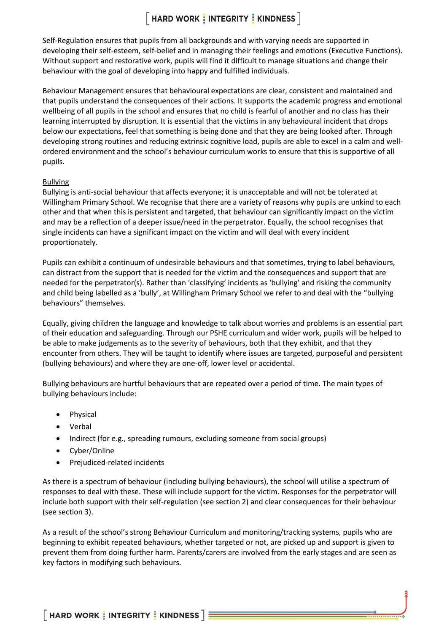# $[$  HARD WORK  $\frac{1}{2}$  INTEGRITY  $\frac{1}{2}$  KINDNESS  $\overline{\phantom{a}}$

Self-Regulation ensures that pupils from all backgrounds and with varying needs are supported in developing their self-esteem, self-belief and in managing their feelings and emotions (Executive Functions). Without support and restorative work, pupils will find it difficult to manage situations and change their behaviour with the goal of developing into happy and fulfilled individuals.

Behaviour Management ensures that behavioural expectations are clear, consistent and maintained and that pupils understand the consequences of their actions. It supports the academic progress and emotional wellbeing of all pupils in the school and ensures that no child is fearful of another and no class has their learning interrupted by disruption. It is essential that the victims in any behavioural incident that drops below our expectations, feel that something is being done and that they are being looked after. Through developing strong routines and reducing extrinsic cognitive load, pupils are able to excel in a calm and wellordered environment and the school's behaviour curriculum works to ensure that this is supportive of all pupils.

#### Bullying

Bullying is anti-social behaviour that affects everyone; it is unacceptable and will not be tolerated at Willingham Primary School. We recognise that there are a variety of reasons why pupils are unkind to each other and that when this is persistent and targeted, that behaviour can significantly impact on the victim and may be a reflection of a deeper issue/need in the perpetrator. Equally, the school recognises that single incidents can have a significant impact on the victim and will deal with every incident proportionately.

Pupils can exhibit a continuum of undesirable behaviours and that sometimes, trying to label behaviours, can distract from the support that is needed for the victim and the consequences and support that are needed for the perpetrator(s). Rather than 'classifying' incidents as 'bullying' and risking the community and child being labelled as a 'bully', at Willingham Primary School we refer to and deal with the "bullying behaviours" themselves.

Equally, giving children the language and knowledge to talk about worries and problems is an essential part of their education and safeguarding. Through our PSHE curriculum and wider work, pupils will be helped to be able to make judgements as to the severity of behaviours, both that they exhibit, and that they encounter from others. They will be taught to identify where issues are targeted, purposeful and persistent (bullying behaviours) and where they are one-off, lower level or accidental.

Bullying behaviours are hurtful behaviours that are repeated over a period of time. The main types of bullying behaviours include:

- Physical
- Verbal
- Indirect (for e.g., spreading rumours, excluding someone from social groups)
- Cyber/Online
- Prejudiced-related incidents

As there is a spectrum of behaviour (including bullying behaviours), the school will utilise a spectrum of responses to deal with these. These will include support for the victim. Responses for the perpetrator will include both support with their self-regulation (see section 2) and clear consequences for their behaviour (see section 3).

As a result of the school's strong Behaviour Curriculum and monitoring/tracking systems, pupils who are beginning to exhibit repeated behaviours, whether targeted or not, are picked up and support is given to prevent them from doing further harm. Parents/carers are involved from the early stages and are seen as key factors in modifying such behaviours.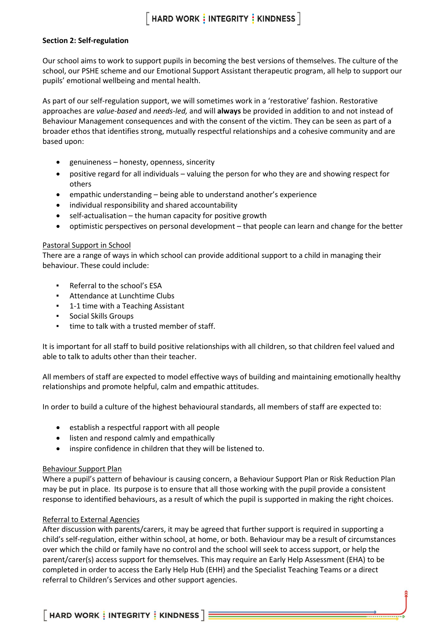#### **Section 2: Self-regulation**

Our school aims to work to support pupils in becoming the best versions of themselves. The culture of the school, our PSHE scheme and our Emotional Support Assistant therapeutic program, all help to support our pupils' emotional wellbeing and mental health.

As part of our self-regulation support, we will sometimes work in a 'restorative' fashion. Restorative approaches are *value-based* and *needs-led,* and will **always** be provided in addition to and not instead of Behaviour Management consequences and with the consent of the victim. They can be seen as part of a broader ethos that identifies strong, mutually respectful relationships and a cohesive community and are based upon:

- genuineness honesty, openness, sincerity
- positive regard for all individuals valuing the person for who they are and showing respect for others
- empathic understanding being able to understand another's experience
- individual responsibility and shared accountability
- self-actualisation the human capacity for positive growth
- optimistic perspectives on personal development that people can learn and change for the better

#### Pastoral Support in School

There are a range of ways in which school can provide additional support to a child in managing their behaviour. These could include:

- Referral to the school's ESA
- Attendance at Lunchtime Clubs
- 1-1 time with a Teaching Assistant
- Social Skills Groups
- time to talk with a trusted member of staff.

It is important for all staff to build positive relationships with all children, so that children feel valued and able to talk to adults other than their teacher.

All members of staff are expected to model effective ways of building and maintaining emotionally healthy relationships and promote helpful, calm and empathic attitudes.

In order to build a culture of the highest behavioural standards, all members of staff are expected to:

- establish a respectful rapport with all people
- listen and respond calmly and empathically
- inspire confidence in children that they will be listened to.

#### Behaviour Support Plan

Where a pupil's pattern of behaviour is causing concern, a Behaviour Support Plan or Risk Reduction Plan may be put in place. Its purpose is to ensure that all those working with the pupil provide a consistent response to identified behaviours, as a result of which the pupil is supported in making the right choices.

#### Referral to External Agencies

After discussion with parents/carers, it may be agreed that further support is required in supporting a child's self-regulation, either within school, at home, or both. Behaviour may be a result of circumstances over which the child or family have no control and the school will seek to access support, or help the parent/carer(s) access support for themselves. This may require an Early Help Assessment (EHA) to be completed in order to access the Early Help Hub (EHH) and the Specialist Teaching Teams or a direct referral to Children's Services and other support agencies.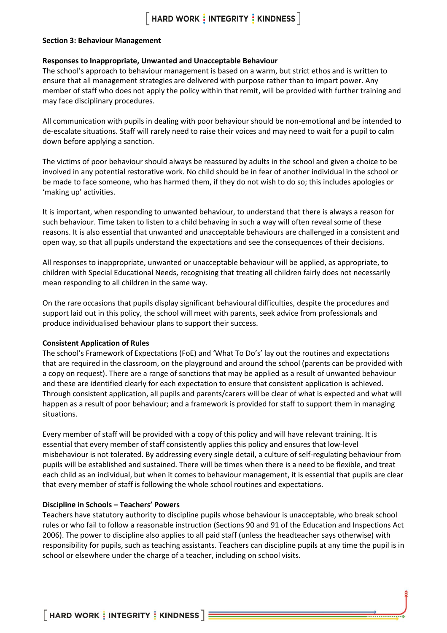### $\lceil$  HARD WORK  $\frac{1}{2}$  INTEGRITY  $\frac{1}{2}$  KINDNESS  $\rceil$

#### **Section 3: Behaviour Management**

#### **Responses to Inappropriate, Unwanted and Unacceptable Behaviour**

The school's approach to behaviour management is based on a warm, but strict ethos and is written to ensure that all management strategies are delivered with purpose rather than to impart power. Any member of staff who does not apply the policy within that remit, will be provided with further training and may face disciplinary procedures.

All communication with pupils in dealing with poor behaviour should be non-emotional and be intended to de-escalate situations. Staff will rarely need to raise their voices and may need to wait for a pupil to calm down before applying a sanction.

The victims of poor behaviour should always be reassured by adults in the school and given a choice to be involved in any potential restorative work. No child should be in fear of another individual in the school or be made to face someone, who has harmed them, if they do not wish to do so; this includes apologies or 'making up' activities.

It is important, when responding to unwanted behaviour, to understand that there is always a reason for such behaviour. Time taken to listen to a child behaving in such a way will often reveal some of these reasons. It is also essential that unwanted and unacceptable behaviours are challenged in a consistent and open way, so that all pupils understand the expectations and see the consequences of their decisions.

All responses to inappropriate, unwanted or unacceptable behaviour will be applied, as appropriate, to children with Special Educational Needs, recognising that treating all children fairly does not necessarily mean responding to all children in the same way.

On the rare occasions that pupils display significant behavioural difficulties, despite the procedures and support laid out in this policy, the school will meet with parents, seek advice from professionals and produce individualised behaviour plans to support their success.

#### **Consistent Application of Rules**

The school's Framework of Expectations (FoE) and 'What To Do's' lay out the routines and expectations that are required in the classroom, on the playground and around the school (parents can be provided with a copy on request). There are a range of sanctions that may be applied as a result of unwanted behaviour and these are identified clearly for each expectation to ensure that consistent application is achieved. Through consistent application, all pupils and parents/carers will be clear of what is expected and what will happen as a result of poor behaviour; and a framework is provided for staff to support them in managing situations.

Every member of staff will be provided with a copy of this policy and will have relevant training. It is essential that every member of staff consistently applies this policy and ensures that low-level misbehaviour is not tolerated. By addressing every single detail, a culture of self-regulating behaviour from pupils will be established and sustained. There will be times when there is a need to be flexible, and treat each child as an individual, but when it comes to behaviour management, it is essential that pupils are clear that every member of staff is following the whole school routines and expectations.

#### **Discipline in Schools – Teachers' Powers**

Teachers have statutory authority to discipline pupils whose behaviour is unacceptable, who break school rules or who fail to follow a reasonable instruction (Sections 90 and 91 of the Education and Inspections Act 2006). The power to discipline also applies to all paid staff (unless the headteacher says otherwise) with responsibility for pupils, such as teaching assistants. Teachers can discipline pupils at any time the pupil is in school or elsewhere under the charge of a teacher, including on school visits.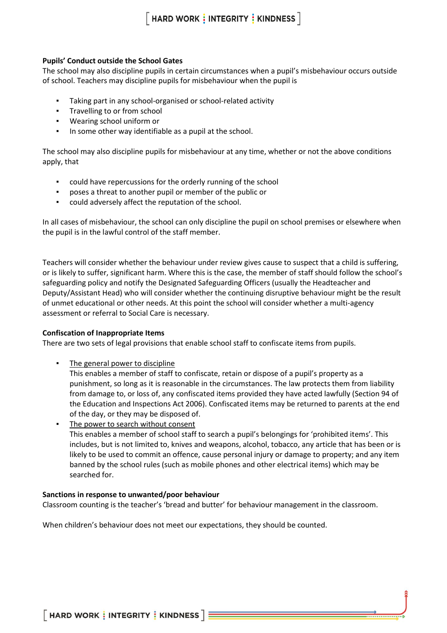#### **Pupils' Conduct outside the School Gates**

The school may also discipline pupils in certain circumstances when a pupil's misbehaviour occurs outside of school. Teachers may discipline pupils for misbehaviour when the pupil is

- Taking part in any school-organised or school-related activity
- Travelling to or from school
- Wearing school uniform or
- In some other way identifiable as a pupil at the school.

The school may also discipline pupils for misbehaviour at any time, whether or not the above conditions apply, that

- could have repercussions for the orderly running of the school
- poses a threat to another pupil or member of the public or
- could adversely affect the reputation of the school.

In all cases of misbehaviour, the school can only discipline the pupil on school premises or elsewhere when the pupil is in the lawful control of the staff member.

Teachers will consider whether the behaviour under review gives cause to suspect that a child is suffering, or is likely to suffer, significant harm. Where this is the case, the member of staff should follow the school's safeguarding policy and notify the Designated Safeguarding Officers (usually the Headteacher and Deputy/Assistant Head) who will consider whether the continuing disruptive behaviour might be the result of unmet educational or other needs. At this point the school will consider whether a multi-agency assessment or referral to Social Care is necessary.

#### **Confiscation of Inappropriate Items**

There are two sets of legal provisions that enable school staff to confiscate items from pupils.

**• The general power to discipline** 

This enables a member of staff to confiscate, retain or dispose of a pupil's property as a punishment, so long as it is reasonable in the circumstances. The law protects them from liability from damage to, or loss of, any confiscated items provided they have acted lawfully (Section 94 of the Education and Inspections Act 2006). Confiscated items may be returned to parents at the end of the day, or they may be disposed of.

The power to search without consent This enables a member of school staff to search a pupil's belongings for 'prohibited items'. This includes, but is not limited to, knives and weapons, alcohol, tobacco, any article that has been or is likely to be used to commit an offence, cause personal injury or damage to property; and any item banned by the school rules (such as mobile phones and other electrical items) which may be searched for.

#### **Sanctions in response to unwanted/poor behaviour**

Classroom counting is the teacher's 'bread and butter' for behaviour management in the classroom.

When children's behaviour does not meet our expectations, they should be counted.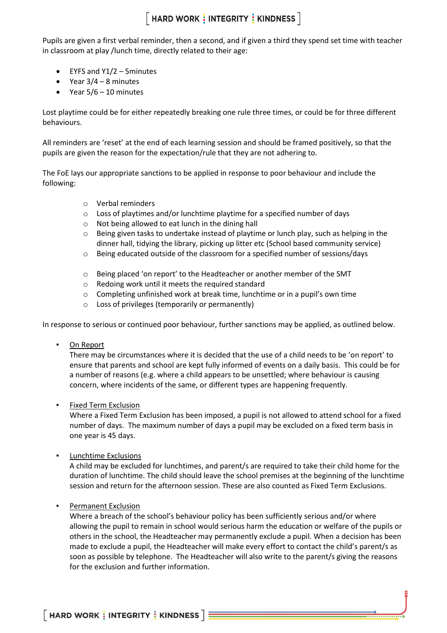Pupils are given a first verbal reminder, then a second, and if given a third they spend set time with teacher in classroom at play /lunch time, directly related to their age:

- EYFS and Y1/2 5minutes
- Year  $3/4 8$  minutes
- Year  $5/6 10$  minutes

Lost playtime could be for either repeatedly breaking one rule three times, or could be for three different behaviours.

All reminders are 'reset' at the end of each learning session and should be framed positively, so that the pupils are given the reason for the expectation/rule that they are not adhering to.

The FoE lays our appropriate sanctions to be applied in response to poor behaviour and include the following:

- o Verbal reminders
- o Loss of playtimes and/or lunchtime playtime for a specified number of days
- o Not being allowed to eat lunch in the dining hall
- o Being given tasks to undertake instead of playtime or lunch play, such as helping in the dinner hall, tidying the library, picking up litter etc (School based community service)
- o Being educated outside of the classroom for a specified number of sessions/days
- o Being placed 'on report' to the Headteacher or another member of the SMT
- o Redoing work until it meets the required standard
- o Completing unfinished work at break time, lunchtime or in a pupil's own time
- o Loss of privileges (temporarily or permanently)

In response to serious or continued poor behaviour, further sanctions may be applied, as outlined below.

On Report

There may be circumstances where it is decided that the use of a child needs to be 'on report' to ensure that parents and school are kept fully informed of events on a daily basis. This could be for a number of reasons (e.g. where a child appears to be unsettled; where behaviour is causing concern, where incidents of the same, or different types are happening frequently.

Fixed Term Exclusion

Where a Fixed Term Exclusion has been imposed, a pupil is not allowed to attend school for a fixed number of days. The maximum number of days a pupil may be excluded on a fixed term basis in one year is 45 days.

**Lunchtime Exclusions** 

A child may be excluded for lunchtimes, and parent/s are required to take their child home for the duration of lunchtime. The child should leave the school premises at the beginning of the lunchtime session and return for the afternoon session. These are also counted as Fixed Term Exclusions.

Permanent Exclusion

Where a breach of the school's behaviour policy has been sufficiently serious and/or where allowing the pupil to remain in school would serious harm the education or welfare of the pupils or others in the school, the Headteacher may permanently exclude a pupil. When a decision has been made to exclude a pupil, the Headteacher will make every effort to contact the child's parent/s as soon as possible by telephone. The Headteacher will also write to the parent/s giving the reasons for the exclusion and further information.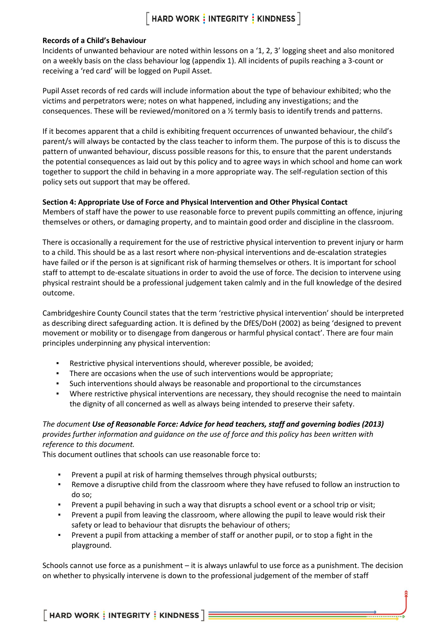### $\lceil$  HARD WORK  $\frac{1}{2}$  INTEGRITY  $\frac{1}{2}$  KINDNESS  $\rceil$

#### **Records of a Child's Behaviour**

Incidents of unwanted behaviour are noted within lessons on a '1, 2, 3' logging sheet and also monitored on a weekly basis on the class behaviour log (appendix 1). All incidents of pupils reaching a 3-count or receiving a 'red card' will be logged on Pupil Asset.

Pupil Asset records of red cards will include information about the type of behaviour exhibited; who the victims and perpetrators were; notes on what happened, including any investigations; and the consequences. These will be reviewed/monitored on a ½ termly basis to identify trends and patterns.

If it becomes apparent that a child is exhibiting frequent occurrences of unwanted behaviour, the child's parent/s will always be contacted by the class teacher to inform them. The purpose of this is to discuss the pattern of unwanted behaviour, discuss possible reasons for this, to ensure that the parent understands the potential consequences as laid out by this policy and to agree ways in which school and home can work together to support the child in behaving in a more appropriate way. The self-regulation section of this policy sets out support that may be offered.

#### **Section 4: Appropriate Use of Force and Physical Intervention and Other Physical Contact**

Members of staff have the power to use reasonable force to prevent pupils committing an offence, injuring themselves or others, or damaging property, and to maintain good order and discipline in the classroom.

There is occasionally a requirement for the use of restrictive physical intervention to prevent injury or harm to a child. This should be as a last resort where non-physical interventions and de-escalation strategies have failed or if the person is at significant risk of harming themselves or others. It is important for school staff to attempt to de-escalate situations in order to avoid the use of force. The decision to intervene using physical restraint should be a professional judgement taken calmly and in the full knowledge of the desired outcome.

Cambridgeshire County Council states that the term 'restrictive physical intervention' should be interpreted as describing direct safeguarding action. It is defined by the DfES/DoH (2002) as being 'designed to prevent movement or mobility or to disengage from dangerous or harmful physical contact'. There are four main principles underpinning any physical intervention:

- Restrictive physical interventions should, wherever possible, be avoided;
- There are occasions when the use of such interventions would be appropriate;
- Such interventions should always be reasonable and proportional to the circumstances
- Where restrictive physical interventions are necessary, they should recognise the need to maintain the dignity of all concerned as well as always being intended to preserve their safety.

#### *The document Use of Reasonable Force: Advice for head teachers, staff and governing bodies (2013) provides further information and guidance on the use of force and this policy has been written with reference to this document.*

This document outlines that schools can use reasonable force to:

- Prevent a pupil at risk of harming themselves through physical outbursts;
- **•** Remove a disruptive child from the classroom where they have refused to follow an instruction to do so;
- Prevent a pupil behaving in such a way that disrupts a school event or a school trip or visit;
- Prevent a pupil from leaving the classroom, where allowing the pupil to leave would risk their safety or lead to behaviour that disrupts the behaviour of others;
- Prevent a pupil from attacking a member of staff or another pupil, or to stop a fight in the playground.

Schools cannot use force as a punishment – it is always unlawful to use force as a punishment. The decision on whether to physically intervene is down to the professional judgement of the member of staff

 $\lceil$  HARD WORK  $\frac{1}{3}$  INTEGRITY  $\frac{1}{3}$  KINDNESS  $\rceil$   $\equiv$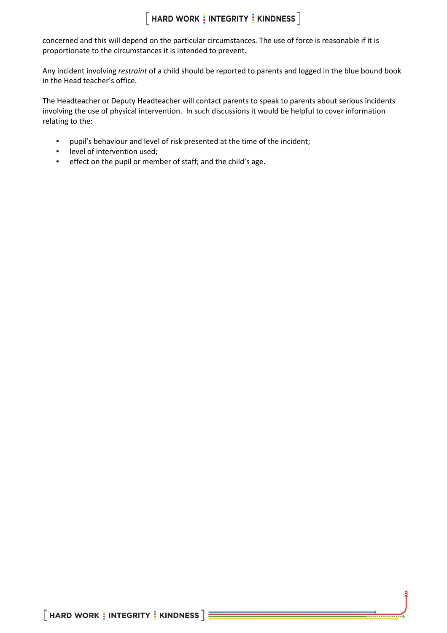concerned and this will depend on the particular circumstances. The use of force is reasonable if it is proportionate to the circumstances it is intended to prevent.

Any incident involving *restraint* of a child should be reported to parents and logged in the blue bound book in the Head teacher's office.

The Headteacher or Deputy Headteacher will contact parents to speak to parents about serious incidents involving the use of physical intervention. In such discussions it would be helpful to cover information relating to the:

- pupil's behaviour and level of risk presented at the time of the incident;
- level of intervention used;<br>■ effect on the nunil or mem
- effect on the pupil or member of staff; and the child's age.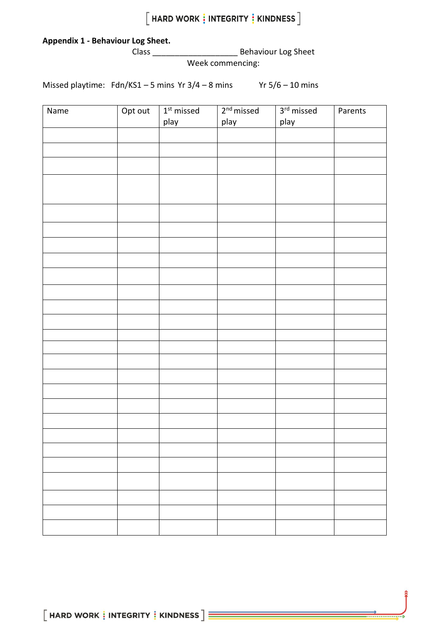### **Appendix 1** *-* **Behaviour Log Sheet.**

Class \_\_\_\_\_\_\_\_\_\_\_\_\_\_\_\_\_\_\_ Behaviour Log Sheet

Week commencing:

Missed playtime:  $Fdn/KS1 - 5 mins$  Yr  $3/4 - 8 mins$  Yr  $5/6 - 10 mins$ 

| Name | Opt out | $1st$ missed | $2nd$ missed | 3rd missed | Parents |
|------|---------|--------------|--------------|------------|---------|
|      |         | play         | play         | play       |         |
|      |         |              |              |            |         |
|      |         |              |              |            |         |
|      |         |              |              |            |         |
|      |         |              |              |            |         |
|      |         |              |              |            |         |
|      |         |              |              |            |         |
|      |         |              |              |            |         |
|      |         |              |              |            |         |
|      |         |              |              |            |         |
|      |         |              |              |            |         |
|      |         |              |              |            |         |
|      |         |              |              |            |         |
|      |         |              |              |            |         |
|      |         |              |              |            |         |
|      |         |              |              |            |         |
|      |         |              |              |            |         |
|      |         |              |              |            |         |
|      |         |              |              |            |         |
|      |         |              |              |            |         |
|      |         |              |              |            |         |
|      |         |              |              |            |         |
|      |         |              |              |            |         |
|      |         |              |              |            |         |
|      |         |              |              |            |         |
|      |         |              |              |            |         |
|      |         |              |              |            |         |
|      |         |              |              |            |         |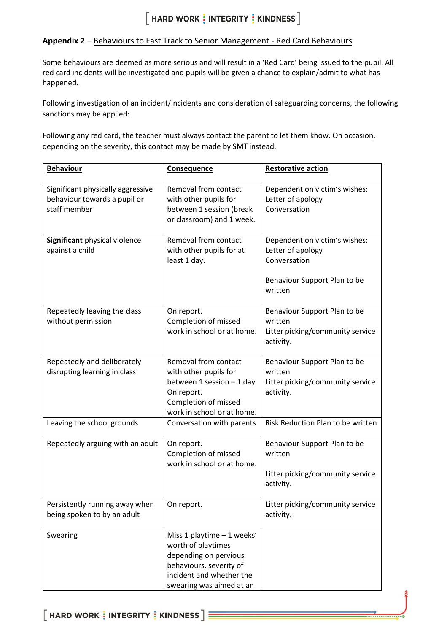# $[$  HARD WORK  $\frac{1}{2}$  INTEGRITY  $\frac{1}{2}$  KINDNESS  $\overline{\phantom{a}}$

#### **Appendix 2 –** Behaviours to Fast Track to Senior Management - Red Card Behaviours

Some behaviours are deemed as more serious and will result in a 'Red Card' being issued to the pupil. All red card incidents will be investigated and pupils will be given a chance to explain/admit to what has happened.

Following investigation of an incident/incidents and consideration of safeguarding concerns, the following sanctions may be applied:

Following any red card, the teacher must always contact the parent to let them know. On occasion, depending on the severity, this contact may be made by SMT instead.

| <b>Behaviour</b>                                                                  | <b>Consequence</b>                                                                                                                                           | <b>Restorative action</b>                                                                                     |
|-----------------------------------------------------------------------------------|--------------------------------------------------------------------------------------------------------------------------------------------------------------|---------------------------------------------------------------------------------------------------------------|
| Significant physically aggressive<br>behaviour towards a pupil or<br>staff member | Removal from contact<br>with other pupils for<br>between 1 session (break<br>or classroom) and 1 week.                                                       | Dependent on victim's wishes:<br>Letter of apology<br>Conversation                                            |
| Significant physical violence<br>against a child                                  | Removal from contact<br>with other pupils for at<br>least 1 day.                                                                                             | Dependent on victim's wishes:<br>Letter of apology<br>Conversation<br>Behaviour Support Plan to be<br>written |
| Repeatedly leaving the class<br>without permission                                | On report.<br>Completion of missed<br>work in school or at home.                                                                                             | Behaviour Support Plan to be<br>written<br>Litter picking/community service<br>activity.                      |
| Repeatedly and deliberately<br>disrupting learning in class                       | Removal from contact<br>with other pupils for<br>between 1 session - 1 day<br>On report.<br>Completion of missed<br>work in school or at home.               | Behaviour Support Plan to be<br>written<br>Litter picking/community service<br>activity.                      |
| Leaving the school grounds                                                        | Conversation with parents                                                                                                                                    | Risk Reduction Plan to be written                                                                             |
| Repeatedly arguing with an adult                                                  | On report.<br>Completion of missed<br>work in school or at home.                                                                                             | Behaviour Support Plan to be<br>written<br>Litter picking/community service<br>activity.                      |
| Persistently running away when<br>being spoken to by an adult                     | On report.                                                                                                                                                   | Litter picking/community service<br>activity.                                                                 |
| Swearing                                                                          | Miss 1 playtime - 1 weeks'<br>worth of playtimes<br>depending on pervious<br>behaviours, severity of<br>incident and whether the<br>swearing was aimed at an |                                                                                                               |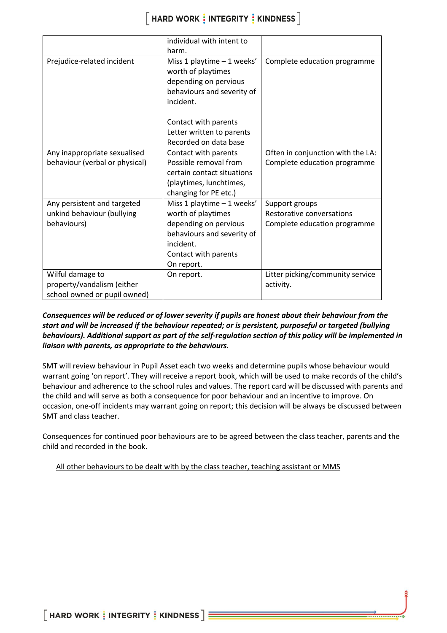|                                | individual with intent to  |                                   |
|--------------------------------|----------------------------|-----------------------------------|
|                                | harm.                      |                                   |
| Prejudice-related incident     | Miss 1 playtime - 1 weeks' | Complete education programme      |
|                                | worth of playtimes         |                                   |
|                                | depending on pervious      |                                   |
|                                | behaviours and severity of |                                   |
|                                | incident.                  |                                   |
|                                |                            |                                   |
|                                | Contact with parents       |                                   |
|                                | Letter written to parents  |                                   |
|                                | Recorded on data base      |                                   |
| Any inappropriate sexualised   | Contact with parents       | Often in conjunction with the LA: |
| behaviour (verbal or physical) | Possible removal from      | Complete education programme      |
|                                | certain contact situations |                                   |
|                                | (playtimes, lunchtimes,    |                                   |
|                                | changing for PE etc.)      |                                   |
| Any persistent and targeted    | Miss 1 playtime - 1 weeks' | Support groups                    |
| unkind behaviour (bullying     | worth of playtimes         | Restorative conversations         |
| behaviours)                    | depending on pervious      | Complete education programme      |
|                                | behaviours and severity of |                                   |
|                                | incident.                  |                                   |
|                                | Contact with parents       |                                   |
|                                | On report.                 |                                   |
| Wilful damage to               | On report.                 | Litter picking/community service  |
| property/vandalism (either     |                            | activity.                         |
| school owned or pupil owned)   |                            |                                   |

#### *Consequences will be reduced or of lower severity if pupils are honest about their behaviour from the start and will be increased if the behaviour repeated; or is persistent, purposeful or targeted (bullying behaviours). Additional support as part of the self-regulation section of this policy will be implemented in liaison with parents, as appropriate to the behaviours.*

SMT will review behaviour in Pupil Asset each two weeks and determine pupils whose behaviour would warrant going 'on report'. They will receive a report book, which will be used to make records of the child's behaviour and adherence to the school rules and values. The report card will be discussed with parents and the child and will serve as both a consequence for poor behaviour and an incentive to improve. On occasion, one-off incidents may warrant going on report; this decision will be always be discussed between SMT and class teacher.

Consequences for continued poor behaviours are to be agreed between the class teacher, parents and the child and recorded in the book.

All other behaviours to be dealt with by the class teacher, teaching assistant or MMS